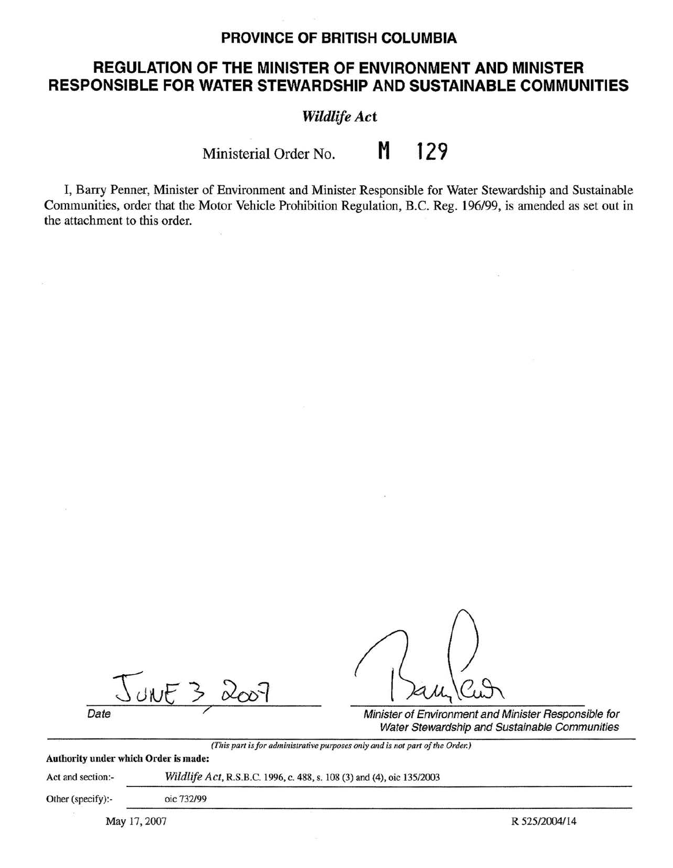# **PROVINCE OF BRITISH COLUMBIA**

# **REGULATION OF THE MINISTER OF ENVIRONMENT AND MINISTER RESPONSIBLE FOR WATER STEWARDSHIP AND SUSTAINABLE COMMUNITIES**

*Wildlife Act* 

Ministerial Order No. **M 129** 

I, Barry Penner, Minister of Environment and Minister Responsible for Water Stewardship and Sustainable Communities, order that the Motor Vehicle Prohibition Regulation, B.C. Reg. 196/99, is amended as set out in the attachment to this order.

 $300532007$ 

Date **Date** Minister of Environment and Minister Responsible for Water Stewardship and Sustainable Communities

*(This part is for administrative purposes only and is not part of the Orde,:)* 

## **Authority under which Order is made:**

Act and section:- *Wildlife Act,* R.S.B.C. 1996, c. 488, s. 108 (3) and (4), oic 135/2003

Other (specify):- oic 732/99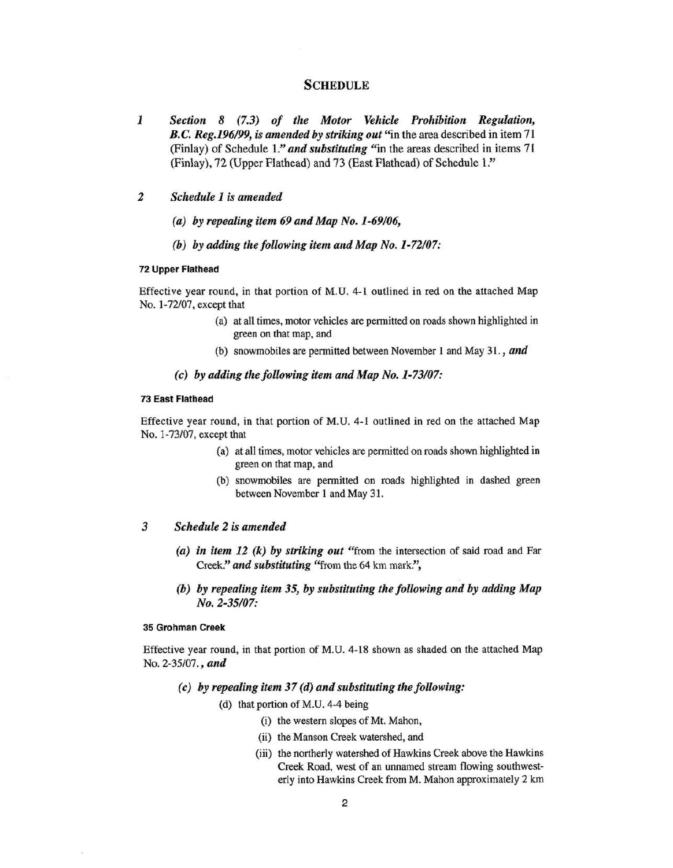### **SCHEDULE**

- *1 Section 8* (7.3) *of the Motor Vehicle Prohibition Regulation, B.C. Reg.196/99, is amended by striking out* "in the area described in item 71 (Finlay) of Schedule 1." *and substituting* "in the areas described in items 71 (Finlay), 72 (Upper Flathead) and 73 (East Flathead) of Schedule l ."
- *2 Schedule 1 is amended* 
	- *(a) by repealing item 69 and Map No. 1-69/06,*
	- *(b) by adding the following item and Map No.1-72/07:*

#### **72 Upper Flathead**

Effective year round, in that portion of M. U. 4-1 outlined in red on the attached Map No. 1-72/07, except that

- (a) at all times, motor vehicles are permitted on roads shown highlighted in green on that map, and
- (b) snowmobiles are permitted between November 1 and May 31. , *and*

#### *(c) by adding the following item and Map No.1-73/07:*

#### **73 East Flathead**

Effective year round, in that portion of M.U. 4-1 outlined in red on the attached Map No. 1-73/07, except that

- (a) at all times, motor vehicles are permitted on roads shown highlighted in green on that map, and
- (b) snowmobiles are permitted on roads highlighted in dashed green between November l and May 31.

#### *3 Schedule 2 is amended*

- *(a) in item 12 (k) by striking out* "from the intersection of said road and Far Creek." *and substituting* "from the 64 km mark.",
- *(b) by repealing item 35, by substituting the following and by adding Map No. 2-35/07:*

#### **35 Grohman Creek**

Effective year round, in that portion of M.U. 4-18 shown as shaded on the attached Map No. 2-35/07., *and* 

- *(c) by repealing item 37 (d) and substituting the following:* 
	- $(d)$  that portion of M.U. 4-4 being
		- (i) the western slopes of Mt. Mahon,
		- (ii) the Manson Creek watershed, and
		- (iii) the northerly watershed of Hawkins Creek above the Hawkins Creek Road, west of an unnamed stream flowing southwesterly into Hawkins Creek from M. Mahon approximately 2 km